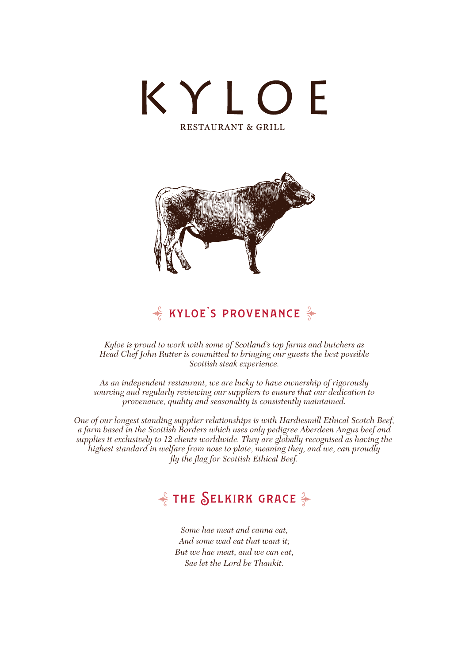



## $\frac{1}{2}$  KYLOE'S PROVENANCE  $\frac{2}{3}$

*Kyloe is proud to work with some of Scotland's top farms and butchers as Head Chef John Rutter is committed to bringing our guests the best possible Scottish steak experience.*

*As an independent restaurant, we are lucky to have ownership of rigorously sourcing and regularly reviewing our suppliers to ensure that our dedication to provenance, quality and seasonality is consistently maintained.* 

*One of our longest standing supplier relationships is with Hardiesmill Ethical Scotch Beef, a farm based in the Scottish Borders which uses only pedigree Aberdeen Angus beef and supplies it exclusively to 12 clients worldwide. They are globally recognised as having the highest standard in welfare from nose to plate, meaning they, and we, can proudly fly the flag for Scottish Ethical Beef.*

## $\frac{1}{2}$  THE SELKIRK GRACE  $\frac{2}{3}$

*Some hae meat and canna eat, And some wad eat that want it; But we hae meat, and we can eat, Sae let the Lord be Thankit.*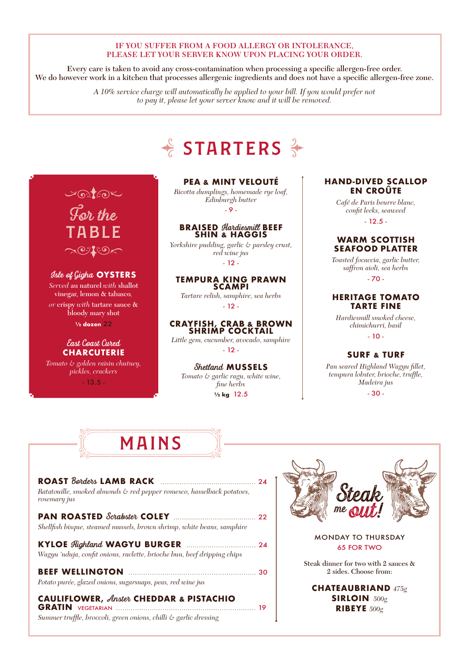#### IF YOU SUFFER FROM A FOOD ALLERGY OR INTOLERANCE, PLEASE LET YOUR SERVER KNOW UPON PLACING YOUR ORDER.

Every care is taken to avoid any cross-contamination when processing a specific allergen-free order. We do however work in a kitchen that processes allergenic ingredients and does not have a specific allergen-free zone.

> *A 10% service charge will automatically be applied to your bill. If you would prefer not to pay it, please let your server know and it will be removed.*

# $\frac{1}{6}$  STARTERS  $\frac{2}{3}$

## $L_{\odot}$ test

**For the ABLE**  $\sim$ O:'' $\ell$ 'O $\lt$ 

### **Isle of Gigha OYSTERS**

*Served* au naturel *with* shallot vinegar, lemon & tabasco*, or* crispy *with* tartare sauce & bloody mary shot

**½ dozen** 22

#### **East Coast Cured CHARCUTERIE**

*Tomato & golden raisin chutney, pickles, crackers*

- 13.5 -

### **PEA & MINT VELOUTÉ**

*Ricotta dumplings, homemade rye loaf, Edinburgh butter* - 9 -

# **BRAISED Hardiesmill BEEF SHIN & HAGGIS**

*Yorkshire pudding, garlic & parsley crust, red wine jus* - 12 -

### **TEMPURA KING PRAWN**

**SCAMPI** *Tartare relish, samphire, sea herbs* - 12 -

#### **CRAYFISH, CRAB & BROWN SHRIMP COCKTAIL**

*Little gem, cucumber, avocado, samphire* - 12 -

#### **Shetland MUSSELS**

*Tomato & garlic ragu, white wine, fine herbs* **½ kg** 12.5

#### **HAND-DIVED SCALLOP EN CROÛTE**

*Café de Paris beurre blanc, confit leeks, seaweed*  $-12.5 -$ 

#### **WARM SCOTTISH SEAFOOD PLATTER**

*Toasted focaccia, garlic butter, saffron aioli, sea herbs*

- 70 -

#### **HERITAGE TOMATO TARTE FINE**

*Hardiesmill smoked cheese, chimichurri, basil*

- 10 -

### **SURF & TURF**

*Pan seared Highland Wagyu fillet, tempura lobster, brioche, truffle, Madeira jus*

- 30 -

# MAINS mains

#### **ROAST Borders LAMB RACK** *.............................................* <sup>24</sup> *Ratatouille, smoked almonds & red pepper romesco, hasselback potatoes,*

*rosemary jus*

| Shellfish bisque, steamed mussels, brown shrimp, white beans, samphire |  |
|------------------------------------------------------------------------|--|

| Wagyu 'nduja, confit onions, raclette, brioche bun, beef dripping chips |  |
|-------------------------------------------------------------------------|--|

| Potato purée, glazed onions, sugarsnaps, peas, red wine jus |  |
|-------------------------------------------------------------|--|

### **CAULIFLOWER, Anster CHEDDAR & PISTACHIO**

**GRATIN** VEGETARIAN *..................................................................* 19 *Summer truffle, broccoli, green onions, chilli & garlic dressing*



#### MONDAY TO THURSDAY 65 FOR TWO

Steak dinner for two with 2 sauces & 2 sides. Choose from:

**CHATEAUBRIAND** *475g* **SIRLOIN** *500g* **RIBEYE** *500g*